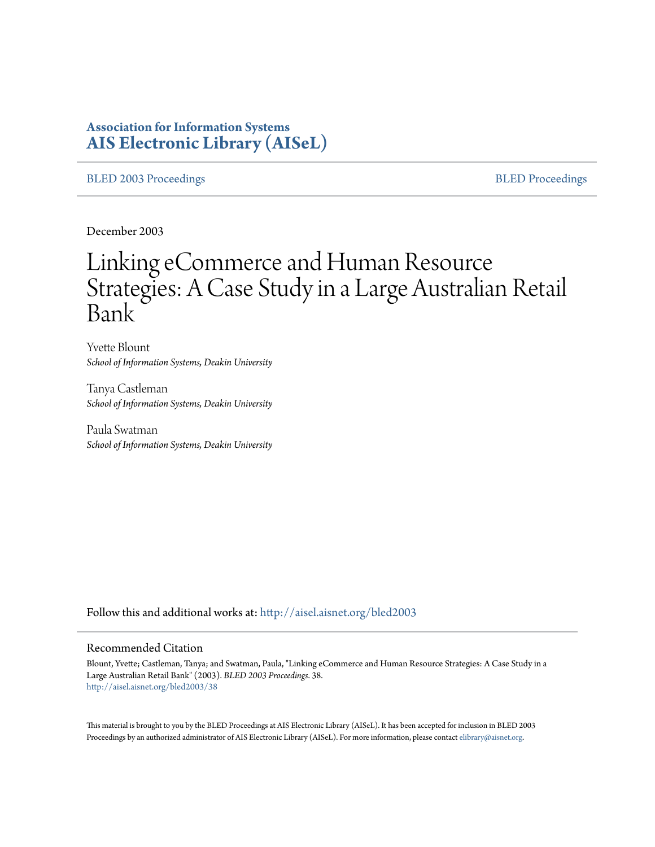# **Association for Information Systems [AIS Electronic Library \(AISeL\)](http://aisel.aisnet.org?utm_source=aisel.aisnet.org%2Fbled2003%2F38&utm_medium=PDF&utm_campaign=PDFCoverPages)**

#### [BLED 2003 Proceedings](http://aisel.aisnet.org/bled2003?utm_source=aisel.aisnet.org%2Fbled2003%2F38&utm_medium=PDF&utm_campaign=PDFCoverPages) and the state of the state of the [BLED Proceedings](http://aisel.aisnet.org/bled?utm_source=aisel.aisnet.org%2Fbled2003%2F38&utm_medium=PDF&utm_campaign=PDFCoverPages) and the BLED Proceedings and the BLED Proceedings and the BLED Proceedings and the BLED Proceedings and the BLED Proceedings and the BLED Proceedings

December 2003

# Linking eCommerce and Human Resource Strategies: A Case Study in a Large Australian Retail Bank

Yvette Blount *School of Information Systems, Deakin University*

Tanya Castleman *School of Information Systems, Deakin University*

Paula Swatman *School of Information Systems, Deakin University*

Follow this and additional works at: [http://aisel.aisnet.org/bled2003](http://aisel.aisnet.org/bled2003?utm_source=aisel.aisnet.org%2Fbled2003%2F38&utm_medium=PDF&utm_campaign=PDFCoverPages)

#### Recommended Citation

Blount, Yvette; Castleman, Tanya; and Swatman, Paula, "Linking eCommerce and Human Resource Strategies: A Case Study in a Large Australian Retail Bank" (2003). *BLED 2003 Proceedings*. 38. [http://aisel.aisnet.org/bled2003/38](http://aisel.aisnet.org/bled2003/38?utm_source=aisel.aisnet.org%2Fbled2003%2F38&utm_medium=PDF&utm_campaign=PDFCoverPages)

This material is brought to you by the BLED Proceedings at AIS Electronic Library (AISeL). It has been accepted for inclusion in BLED 2003 Proceedings by an authorized administrator of AIS Electronic Library (AISeL). For more information, please contact [elibrary@aisnet.org](mailto:elibrary@aisnet.org%3E).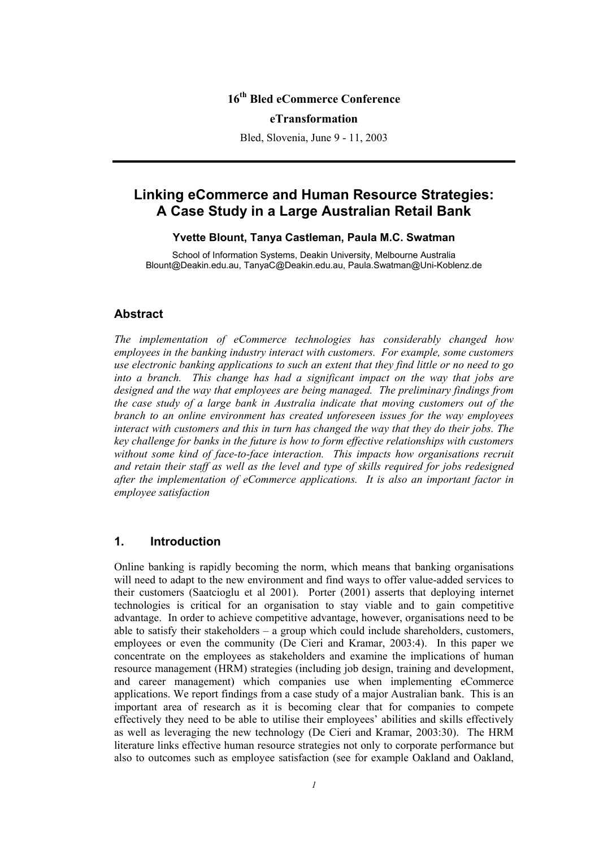## **16th Bled eCommerce Conference**

#### **eTransformation**

Bled, Slovenia, June 9 - 11, 2003

## **Linking eCommerce and Human Resource Strategies: A Case Study in a Large Australian Retail Bank**

### **Yvette Blount, Tanya Castleman, Paula M.C. Swatman**

School of Information Systems, Deakin University, Melbourne Australia Blount@Deakin.edu.au, TanyaC@Deakin.edu.au, Paula.Swatman@Uni-Koblenz.de

## **Abstract**

*The implementation of eCommerce technologies has considerably changed how employees in the banking industry interact with customers. For example, some customers use electronic banking applications to such an extent that they find little or no need to go into a branch. This change has had a significant impact on the way that jobs are designed and the way that employees are being managed. The preliminary findings from the case study of a large bank in Australia indicate that moving customers out of the branch to an online environment has created unforeseen issues for the way employees interact with customers and this in turn has changed the way that they do their jobs. The key challenge for banks in the future is how to form effective relationships with customers without some kind of face-to-face interaction. This impacts how organisations recruit and retain their staff as well as the level and type of skills required for jobs redesigned after the implementation of eCommerce applications. It is also an important factor in employee satisfaction* 

## **1. Introduction**

Online banking is rapidly becoming the norm, which means that banking organisations will need to adapt to the new environment and find ways to offer value-added services to their customers (Saatcioglu et al 2001). Porter (2001) asserts that deploying internet technologies is critical for an organisation to stay viable and to gain competitive advantage. In order to achieve competitive advantage, however, organisations need to be able to satisfy their stakeholders – a group which could include shareholders, customers, employees or even the community (De Cieri and Kramar, 2003:4). In this paper we concentrate on the employees as stakeholders and examine the implications of human resource management (HRM) strategies (including job design, training and development, and career management) which companies use when implementing eCommerce applications. We report findings from a case study of a major Australian bank. This is an important area of research as it is becoming clear that for companies to compete effectively they need to be able to utilise their employees' abilities and skills effectively as well as leveraging the new technology (De Cieri and Kramar, 2003:30). The HRM literature links effective human resource strategies not only to corporate performance but also to outcomes such as employee satisfaction (see for example Oakland and Oakland,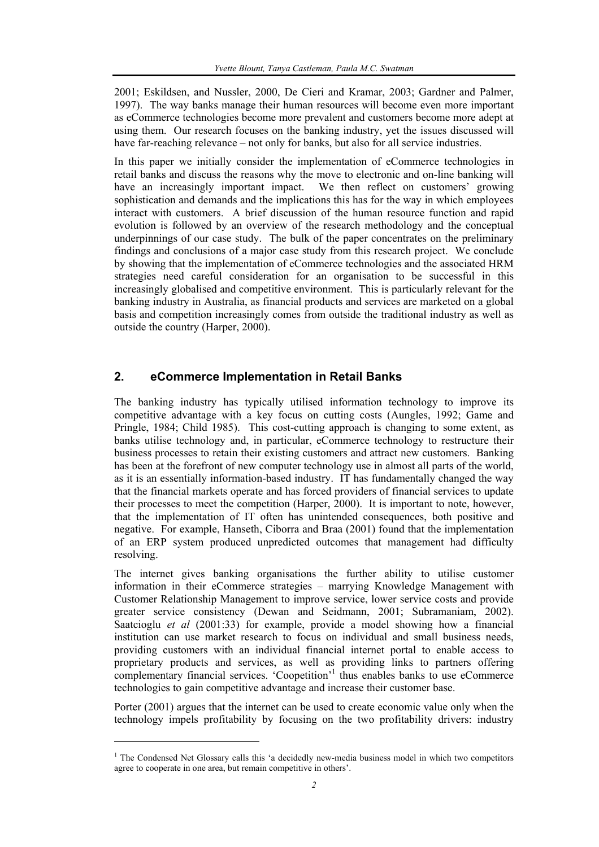2001; Eskildsen, and Nussler, 2000, De Cieri and Kramar, 2003; Gardner and Palmer, 1997). The way banks manage their human resources will become even more important as eCommerce technologies become more prevalent and customers become more adept at using them. Our research focuses on the banking industry, yet the issues discussed will have far-reaching relevance – not only for banks, but also for all service industries.

In this paper we initially consider the implementation of eCommerce technologies in retail banks and discuss the reasons why the move to electronic and on-line banking will have an increasingly important impact. We then reflect on customers' growing sophistication and demands and the implications this has for the way in which employees interact with customers. A brief discussion of the human resource function and rapid evolution is followed by an overview of the research methodology and the conceptual underpinnings of our case study. The bulk of the paper concentrates on the preliminary findings and conclusions of a major case study from this research project. We conclude by showing that the implementation of eCommerce technologies and the associated HRM strategies need careful consideration for an organisation to be successful in this increasingly globalised and competitive environment. This is particularly relevant for the banking industry in Australia, as financial products and services are marketed on a global basis and competition increasingly comes from outside the traditional industry as well as outside the country (Harper, 2000).

## **2. eCommerce Implementation in Retail Banks**

The banking industry has typically utilised information technology to improve its competitive advantage with a key focus on cutting costs (Aungles, 1992; Game and Pringle, 1984; Child 1985). This cost-cutting approach is changing to some extent, as banks utilise technology and, in particular, eCommerce technology to restructure their business processes to retain their existing customers and attract new customers. Banking has been at the forefront of new computer technology use in almost all parts of the world, as it is an essentially information-based industry. IT has fundamentally changed the way that the financial markets operate and has forced providers of financial services to update their processes to meet the competition (Harper, 2000). It is important to note, however, that the implementation of IT often has unintended consequences, both positive and negative. For example, Hanseth, Ciborra and Braa (2001) found that the implementation of an ERP system produced unpredicted outcomes that management had difficulty resolving.

The internet gives banking organisations the further ability to utilise customer information in their eCommerce strategies – marrying Knowledge Management with Customer Relationship Management to improve service, lower service costs and provide greater service consistency (Dewan and Seidmann, 2001; Subramaniam, 2002). Saatcioglu *et al* (2001:33) for example, provide a model showing how a financial institution can use market research to focus on individual and small business needs, providing customers with an individual financial internet portal to enable access to proprietary products and services, as well as providing links to partners offering complementary financial services. 'Coopetition'<sup>1</sup> thus enables banks to use eCommerce technologies to gain competitive advantage and increase their customer base.

Porter (2001) argues that the internet can be used to create economic value only when the technology impels profitability by focusing on the two profitability drivers: industry

l

<sup>&</sup>lt;sup>1</sup> The Condensed Net Glossary calls this 'a decidedly new-media business model in which two competitors agree to cooperate in one area, but remain competitive in others'.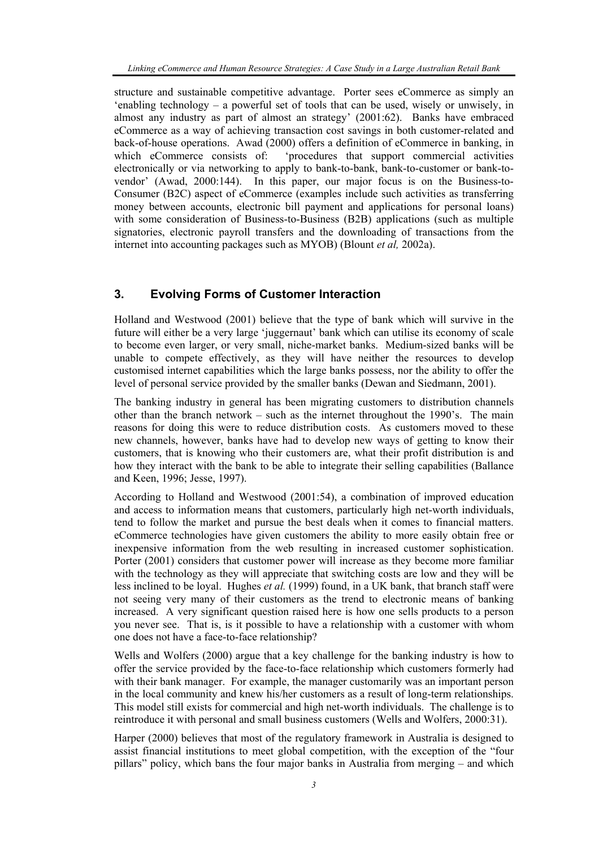structure and sustainable competitive advantage. Porter sees eCommerce as simply an 'enabling technology – a powerful set of tools that can be used, wisely or unwisely, in almost any industry as part of almost an strategy' (2001:62). Banks have embraced eCommerce as a way of achieving transaction cost savings in both customer-related and back-of-house operations. Awad (2000) offers a definition of eCommerce in banking, in which eCommerce consists of: 'procedures that support commercial activities electronically or via networking to apply to bank-to-bank, bank-to-customer or bank-tovendor' (Awad, 2000:144). In this paper, our major focus is on the Business-to-Consumer (B2C) aspect of eCommerce (examples include such activities as transferring money between accounts, electronic bill payment and applications for personal loans) with some consideration of Business-to-Business (B2B) applications (such as multiple signatories, electronic payroll transfers and the downloading of transactions from the internet into accounting packages such as MYOB) (Blount *et al,* 2002a).

## **3. Evolving Forms of Customer Interaction**

Holland and Westwood (2001) believe that the type of bank which will survive in the future will either be a very large 'juggernaut' bank which can utilise its economy of scale to become even larger, or very small, niche-market banks. Medium-sized banks will be unable to compete effectively, as they will have neither the resources to develop customised internet capabilities which the large banks possess, nor the ability to offer the level of personal service provided by the smaller banks (Dewan and Siedmann, 2001).

The banking industry in general has been migrating customers to distribution channels other than the branch network – such as the internet throughout the 1990's. The main reasons for doing this were to reduce distribution costs. As customers moved to these new channels, however, banks have had to develop new ways of getting to know their customers, that is knowing who their customers are, what their profit distribution is and how they interact with the bank to be able to integrate their selling capabilities (Ballance and Keen, 1996; Jesse, 1997).

According to Holland and Westwood (2001:54), a combination of improved education and access to information means that customers, particularly high net-worth individuals, tend to follow the market and pursue the best deals when it comes to financial matters. eCommerce technologies have given customers the ability to more easily obtain free or inexpensive information from the web resulting in increased customer sophistication. Porter (2001) considers that customer power will increase as they become more familiar with the technology as they will appreciate that switching costs are low and they will be less inclined to be loyal. Hughes *et al.* (1999) found, in a UK bank, that branch staff were not seeing very many of their customers as the trend to electronic means of banking increased. A very significant question raised here is how one sells products to a person you never see. That is, is it possible to have a relationship with a customer with whom one does not have a face-to-face relationship?

Wells and Wolfers (2000) argue that a key challenge for the banking industry is how to offer the service provided by the face-to-face relationship which customers formerly had with their bank manager. For example, the manager customarily was an important person in the local community and knew his/her customers as a result of long-term relationships. This model still exists for commercial and high net-worth individuals. The challenge is to reintroduce it with personal and small business customers (Wells and Wolfers, 2000:31).

Harper (2000) believes that most of the regulatory framework in Australia is designed to assist financial institutions to meet global competition, with the exception of the "four pillars" policy, which bans the four major banks in Australia from merging – and which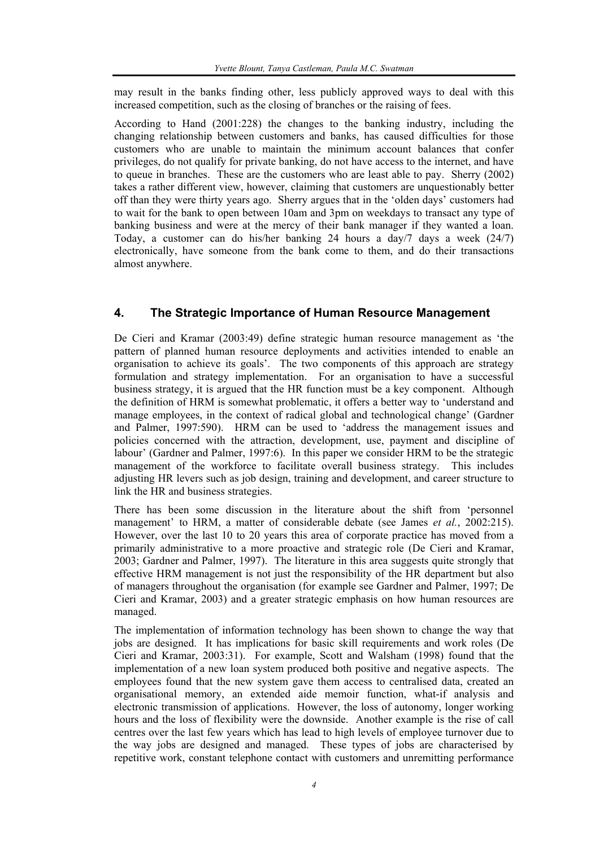may result in the banks finding other, less publicly approved ways to deal with this increased competition, such as the closing of branches or the raising of fees.

According to Hand (2001:228) the changes to the banking industry, including the changing relationship between customers and banks, has caused difficulties for those customers who are unable to maintain the minimum account balances that confer privileges, do not qualify for private banking, do not have access to the internet, and have to queue in branches. These are the customers who are least able to pay. Sherry (2002) takes a rather different view, however, claiming that customers are unquestionably better off than they were thirty years ago. Sherry argues that in the 'olden days' customers had to wait for the bank to open between 10am and 3pm on weekdays to transact any type of banking business and were at the mercy of their bank manager if they wanted a loan. Today, a customer can do his/her banking 24 hours a day/7 days a week (24/7) electronically, have someone from the bank come to them, and do their transactions almost anywhere.

## **4. The Strategic Importance of Human Resource Management**

De Cieri and Kramar (2003:49) define strategic human resource management as 'the pattern of planned human resource deployments and activities intended to enable an organisation to achieve its goals'. The two components of this approach are strategy formulation and strategy implementation. For an organisation to have a successful business strategy, it is argued that the HR function must be a key component. Although the definition of HRM is somewhat problematic, it offers a better way to 'understand and manage employees, in the context of radical global and technological change' (Gardner and Palmer, 1997:590). HRM can be used to 'address the management issues and policies concerned with the attraction, development, use, payment and discipline of labour' (Gardner and Palmer, 1997:6). In this paper we consider HRM to be the strategic management of the workforce to facilitate overall business strategy. This includes adjusting HR levers such as job design, training and development, and career structure to link the HR and business strategies.

There has been some discussion in the literature about the shift from 'personnel management' to HRM, a matter of considerable debate (see James *et al.*, 2002:215). However, over the last 10 to 20 years this area of corporate practice has moved from a primarily administrative to a more proactive and strategic role (De Cieri and Kramar, 2003; Gardner and Palmer, 1997). The literature in this area suggests quite strongly that effective HRM management is not just the responsibility of the HR department but also of managers throughout the organisation (for example see Gardner and Palmer, 1997; De Cieri and Kramar, 2003) and a greater strategic emphasis on how human resources are managed.

The implementation of information technology has been shown to change the way that jobs are designed. It has implications for basic skill requirements and work roles (De Cieri and Kramar, 2003:31). For example, Scott and Walsham (1998) found that the implementation of a new loan system produced both positive and negative aspects. The employees found that the new system gave them access to centralised data, created an organisational memory, an extended aide memoir function, what-if analysis and electronic transmission of applications. However, the loss of autonomy, longer working hours and the loss of flexibility were the downside. Another example is the rise of call centres over the last few years which has lead to high levels of employee turnover due to the way jobs are designed and managed. These types of jobs are characterised by repetitive work, constant telephone contact with customers and unremitting performance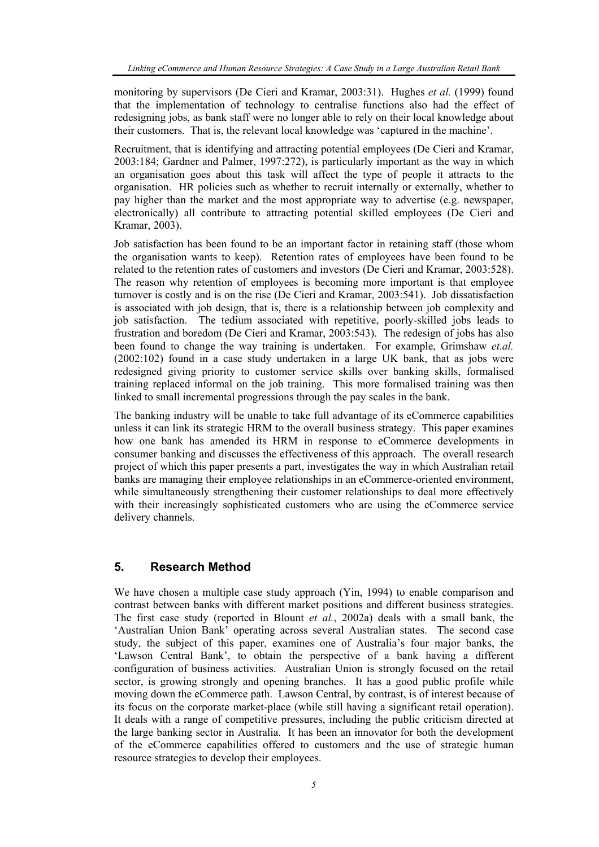monitoring by supervisors (De Cieri and Kramar, 2003:31). Hughes *et al.* (1999) found that the implementation of technology to centralise functions also had the effect of redesigning jobs, as bank staff were no longer able to rely on their local knowledge about their customers. That is, the relevant local knowledge was 'captured in the machine'.

Recruitment, that is identifying and attracting potential employees (De Cieri and Kramar, 2003:184; Gardner and Palmer, 1997:272), is particularly important as the way in which an organisation goes about this task will affect the type of people it attracts to the organisation. HR policies such as whether to recruit internally or externally, whether to pay higher than the market and the most appropriate way to advertise (e.g. newspaper, electronically) all contribute to attracting potential skilled employees (De Cieri and Kramar, 2003).

Job satisfaction has been found to be an important factor in retaining staff (those whom the organisation wants to keep). Retention rates of employees have been found to be related to the retention rates of customers and investors (De Cieri and Kramar, 2003:528). The reason why retention of employees is becoming more important is that employee turnover is costly and is on the rise (De Cieri and Kramar, 2003:541). Job dissatisfaction is associated with job design, that is, there is a relationship between job complexity and job satisfaction. The tedium associated with repetitive, poorly-skilled jobs leads to frustration and boredom (De Cieri and Kramar, 2003:543). The redesign of jobs has also been found to change the way training is undertaken. For example, Grimshaw *et.al.* (2002:102) found in a case study undertaken in a large UK bank, that as jobs were redesigned giving priority to customer service skills over banking skills, formalised training replaced informal on the job training. This more formalised training was then linked to small incremental progressions through the pay scales in the bank.

The banking industry will be unable to take full advantage of its eCommerce capabilities unless it can link its strategic HRM to the overall business strategy. This paper examines how one bank has amended its HRM in response to eCommerce developments in consumer banking and discusses the effectiveness of this approach. The overall research project of which this paper presents a part, investigates the way in which Australian retail banks are managing their employee relationships in an eCommerce-oriented environment, while simultaneously strengthening their customer relationships to deal more effectively with their increasingly sophisticated customers who are using the eCommerce service delivery channels.

## **5. Research Method**

We have chosen a multiple case study approach (Yin, 1994) to enable comparison and contrast between banks with different market positions and different business strategies. The first case study (reported in Blount *et al.*, 2002a) deals with a small bank, the 'Australian Union Bank' operating across several Australian states. The second case study, the subject of this paper, examines one of Australia's four major banks, the 'Lawson Central Bank', to obtain the perspective of a bank having a different configuration of business activities. Australian Union is strongly focused on the retail sector, is growing strongly and opening branches. It has a good public profile while moving down the eCommerce path. Lawson Central, by contrast, is of interest because of its focus on the corporate market-place (while still having a significant retail operation). It deals with a range of competitive pressures, including the public criticism directed at the large banking sector in Australia. It has been an innovator for both the development of the eCommerce capabilities offered to customers and the use of strategic human resource strategies to develop their employees.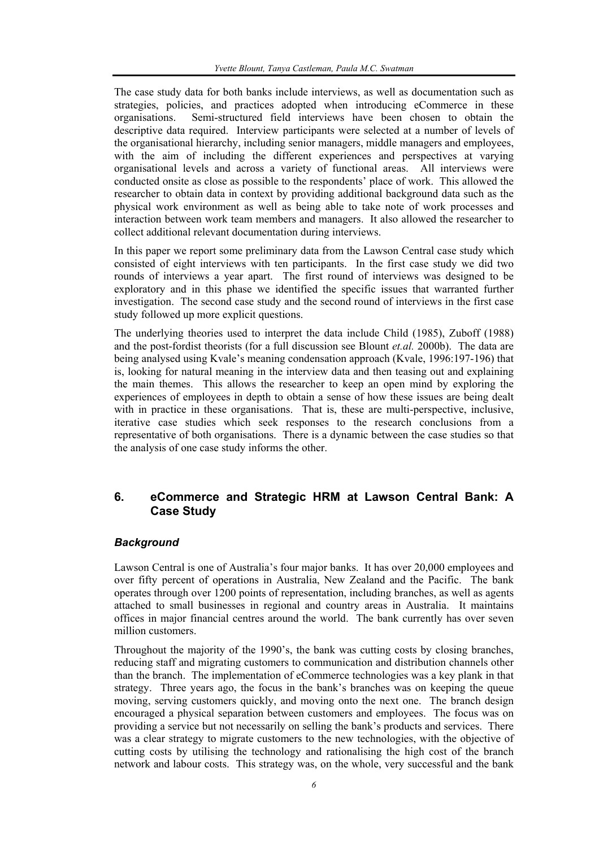The case study data for both banks include interviews, as well as documentation such as strategies, policies, and practices adopted when introducing eCommerce in these organisations. Semi-structured field interviews have been chosen to obtain the descriptive data required. Interview participants were selected at a number of levels of the organisational hierarchy, including senior managers, middle managers and employees, with the aim of including the different experiences and perspectives at varying organisational levels and across a variety of functional areas. All interviews were conducted onsite as close as possible to the respondents' place of work. This allowed the researcher to obtain data in context by providing additional background data such as the physical work environment as well as being able to take note of work processes and interaction between work team members and managers. It also allowed the researcher to collect additional relevant documentation during interviews.

In this paper we report some preliminary data from the Lawson Central case study which consisted of eight interviews with ten participants. In the first case study we did two rounds of interviews a year apart. The first round of interviews was designed to be exploratory and in this phase we identified the specific issues that warranted further investigation. The second case study and the second round of interviews in the first case study followed up more explicit questions.

The underlying theories used to interpret the data include Child (1985), Zuboff (1988) and the post-fordist theorists (for a full discussion see Blount *et.al.* 2000b). The data are being analysed using Kvale's meaning condensation approach (Kvale, 1996:197-196) that is, looking for natural meaning in the interview data and then teasing out and explaining the main themes. This allows the researcher to keep an open mind by exploring the experiences of employees in depth to obtain a sense of how these issues are being dealt with in practice in these organisations. That is, these are multi-perspective, inclusive, iterative case studies which seek responses to the research conclusions from a representative of both organisations. There is a dynamic between the case studies so that the analysis of one case study informs the other.

## **6. eCommerce and Strategic HRM at Lawson Central Bank: A Case Study**

#### *Background*

Lawson Central is one of Australia's four major banks. It has over 20,000 employees and over fifty percent of operations in Australia, New Zealand and the Pacific. The bank operates through over 1200 points of representation, including branches, as well as agents attached to small businesses in regional and country areas in Australia. It maintains offices in major financial centres around the world. The bank currently has over seven million customers.

Throughout the majority of the 1990's, the bank was cutting costs by closing branches, reducing staff and migrating customers to communication and distribution channels other than the branch. The implementation of eCommerce technologies was a key plank in that strategy. Three years ago, the focus in the bank's branches was on keeping the queue moving, serving customers quickly, and moving onto the next one. The branch design encouraged a physical separation between customers and employees. The focus was on providing a service but not necessarily on selling the bank's products and services. There was a clear strategy to migrate customers to the new technologies, with the objective of cutting costs by utilising the technology and rationalising the high cost of the branch network and labour costs. This strategy was, on the whole, very successful and the bank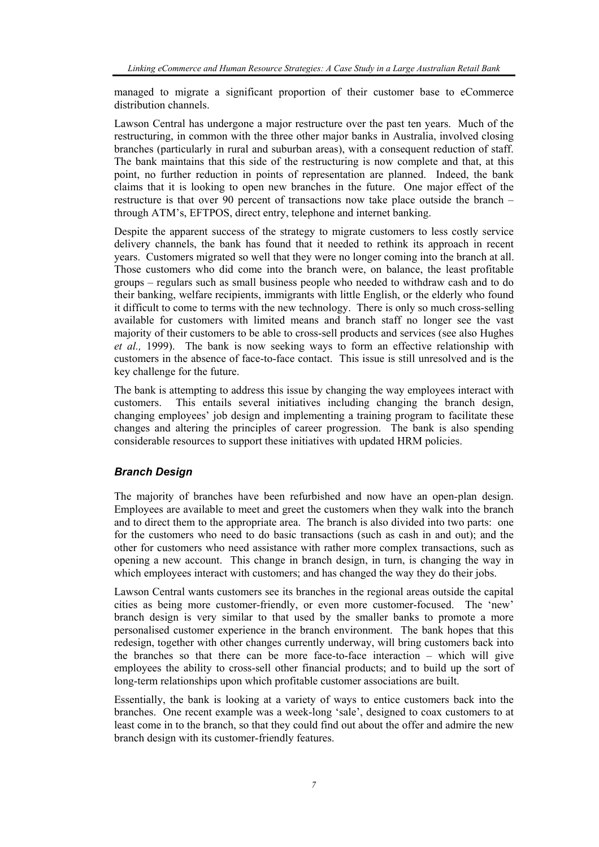managed to migrate a significant proportion of their customer base to eCommerce distribution channels.

Lawson Central has undergone a major restructure over the past ten years. Much of the restructuring, in common with the three other major banks in Australia, involved closing branches (particularly in rural and suburban areas), with a consequent reduction of staff. The bank maintains that this side of the restructuring is now complete and that, at this point, no further reduction in points of representation are planned. Indeed, the bank claims that it is looking to open new branches in the future. One major effect of the restructure is that over 90 percent of transactions now take place outside the branch – through ATM's, EFTPOS, direct entry, telephone and internet banking.

Despite the apparent success of the strategy to migrate customers to less costly service delivery channels, the bank has found that it needed to rethink its approach in recent years. Customers migrated so well that they were no longer coming into the branch at all. Those customers who did come into the branch were, on balance, the least profitable groups – regulars such as small business people who needed to withdraw cash and to do their banking, welfare recipients, immigrants with little English, or the elderly who found it difficult to come to terms with the new technology. There is only so much cross-selling available for customers with limited means and branch staff no longer see the vast majority of their customers to be able to cross-sell products and services (see also Hughes *et al.,* 1999). The bank is now seeking ways to form an effective relationship with customers in the absence of face-to-face contact. This issue is still unresolved and is the key challenge for the future.

The bank is attempting to address this issue by changing the way employees interact with customers. This entails several initiatives including changing the branch design, changing employees' job design and implementing a training program to facilitate these changes and altering the principles of career progression. The bank is also spending considerable resources to support these initiatives with updated HRM policies.

## *Branch Design*

The majority of branches have been refurbished and now have an open-plan design. Employees are available to meet and greet the customers when they walk into the branch and to direct them to the appropriate area. The branch is also divided into two parts: one for the customers who need to do basic transactions (such as cash in and out); and the other for customers who need assistance with rather more complex transactions, such as opening a new account. This change in branch design, in turn, is changing the way in which employees interact with customers; and has changed the way they do their jobs.

Lawson Central wants customers see its branches in the regional areas outside the capital cities as being more customer-friendly, or even more customer-focused. The 'new' branch design is very similar to that used by the smaller banks to promote a more personalised customer experience in the branch environment. The bank hopes that this redesign, together with other changes currently underway, will bring customers back into the branches so that there can be more face-to-face interaction – which will give employees the ability to cross-sell other financial products; and to build up the sort of long-term relationships upon which profitable customer associations are built.

Essentially, the bank is looking at a variety of ways to entice customers back into the branches. One recent example was a week-long 'sale', designed to coax customers to at least come in to the branch, so that they could find out about the offer and admire the new branch design with its customer-friendly features.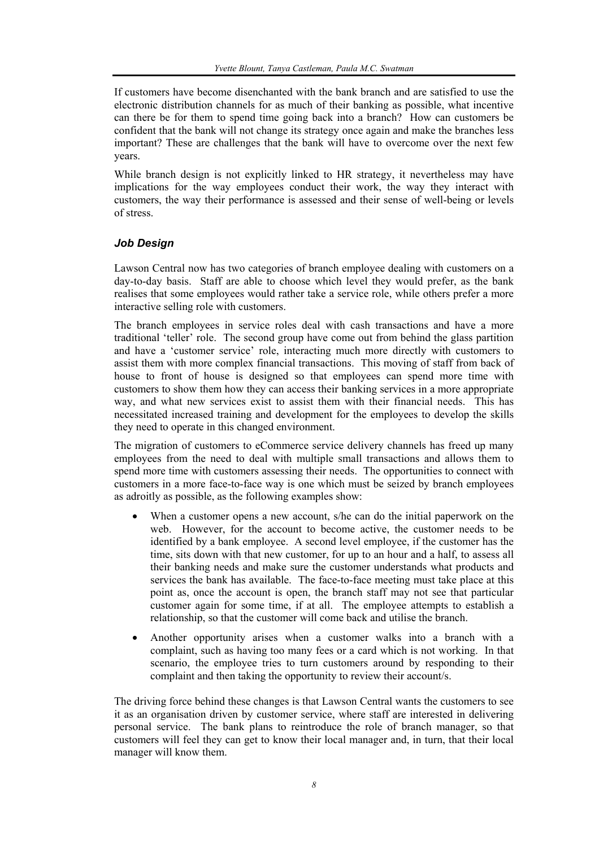If customers have become disenchanted with the bank branch and are satisfied to use the electronic distribution channels for as much of their banking as possible, what incentive can there be for them to spend time going back into a branch? How can customers be confident that the bank will not change its strategy once again and make the branches less important? These are challenges that the bank will have to overcome over the next few years.

While branch design is not explicitly linked to HR strategy, it nevertheless may have implications for the way employees conduct their work, the way they interact with customers, the way their performance is assessed and their sense of well-being or levels of stress.

## *Job Design*

Lawson Central now has two categories of branch employee dealing with customers on a day-to-day basis. Staff are able to choose which level they would prefer, as the bank realises that some employees would rather take a service role, while others prefer a more interactive selling role with customers.

The branch employees in service roles deal with cash transactions and have a more traditional 'teller' role. The second group have come out from behind the glass partition and have a 'customer service' role, interacting much more directly with customers to assist them with more complex financial transactions. This moving of staff from back of house to front of house is designed so that employees can spend more time with customers to show them how they can access their banking services in a more appropriate way, and what new services exist to assist them with their financial needs. This has necessitated increased training and development for the employees to develop the skills they need to operate in this changed environment.

The migration of customers to eCommerce service delivery channels has freed up many employees from the need to deal with multiple small transactions and allows them to spend more time with customers assessing their needs. The opportunities to connect with customers in a more face-to-face way is one which must be seized by branch employees as adroitly as possible, as the following examples show:

- When a customer opens a new account, s/he can do the initial paperwork on the web. However, for the account to become active, the customer needs to be identified by a bank employee. A second level employee, if the customer has the time, sits down with that new customer, for up to an hour and a half, to assess all their banking needs and make sure the customer understands what products and services the bank has available. The face-to-face meeting must take place at this point as, once the account is open, the branch staff may not see that particular customer again for some time, if at all. The employee attempts to establish a relationship, so that the customer will come back and utilise the branch.
- Another opportunity arises when a customer walks into a branch with a complaint, such as having too many fees or a card which is not working. In that scenario, the employee tries to turn customers around by responding to their complaint and then taking the opportunity to review their account/s.

The driving force behind these changes is that Lawson Central wants the customers to see it as an organisation driven by customer service, where staff are interested in delivering personal service. The bank plans to reintroduce the role of branch manager, so that customers will feel they can get to know their local manager and, in turn, that their local manager will know them.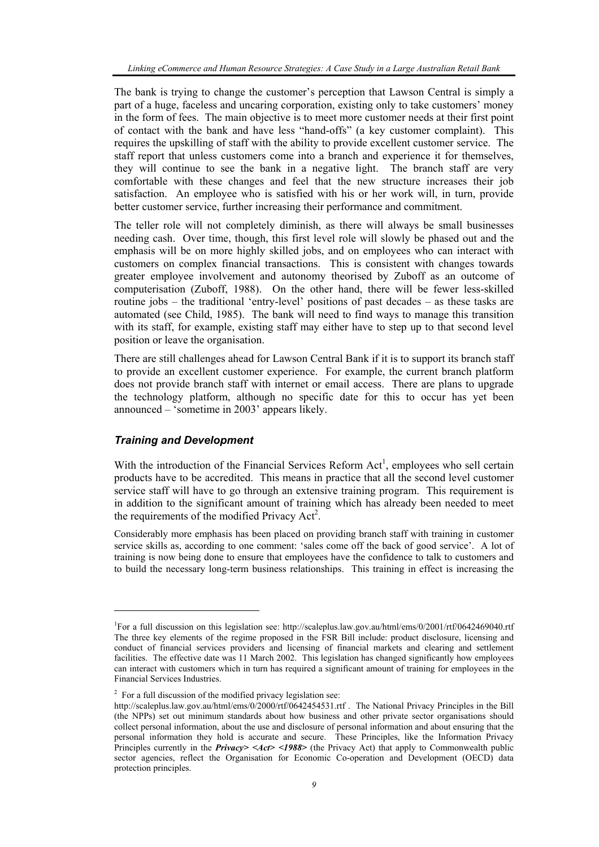The bank is trying to change the customer's perception that Lawson Central is simply a part of a huge, faceless and uncaring corporation, existing only to take customers' money in the form of fees. The main objective is to meet more customer needs at their first point of contact with the bank and have less "hand-offs" (a key customer complaint). This requires the upskilling of staff with the ability to provide excellent customer service. The staff report that unless customers come into a branch and experience it for themselves, they will continue to see the bank in a negative light. The branch staff are very comfortable with these changes and feel that the new structure increases their job satisfaction. An employee who is satisfied with his or her work will, in turn, provide better customer service, further increasing their performance and commitment.

The teller role will not completely diminish, as there will always be small businesses needing cash. Over time, though, this first level role will slowly be phased out and the emphasis will be on more highly skilled jobs, and on employees who can interact with customers on complex financial transactions. This is consistent with changes towards greater employee involvement and autonomy theorised by Zuboff as an outcome of computerisation (Zuboff, 1988). On the other hand, there will be fewer less-skilled routine jobs – the traditional 'entry-level' positions of past decades – as these tasks are automated (see Child, 1985). The bank will need to find ways to manage this transition with its staff, for example, existing staff may either have to step up to that second level position or leave the organisation.

There are still challenges ahead for Lawson Central Bank if it is to support its branch staff to provide an excellent customer experience. For example, the current branch platform does not provide branch staff with internet or email access. There are plans to upgrade the technology platform, although no specific date for this to occur has yet been announced – 'sometime in 2003' appears likely.

#### *Training and Development*

l

With the introduction of the Financial Services Reform  $Act<sup>1</sup>$ , employees who sell certain products have to be accredited. This means in practice that all the second level customer service staff will have to go through an extensive training program. This requirement is in addition to the significant amount of training which has already been needed to meet the requirements of the modified Privacy Act<sup>2</sup>.

Considerably more emphasis has been placed on providing branch staff with training in customer service skills as, according to one comment: 'sales come off the back of good service'. A lot of training is now being done to ensure that employees have the confidence to talk to customers and to build the necessary long-term business relationships. This training in effect is increasing the

<sup>&</sup>lt;sup>1</sup>For a full discussion on this legislation see: http://scaleplus.law.gov.au/html/ems/0/2001/rtf/0642469040.rtf The three key elements of the regime proposed in the FSR Bill include: product disclosure, licensing and conduct of financial services providers and licensing of financial markets and clearing and settlement facilities. The effective date was 11 March 2002. This legislation has changed significantly how employees can interact with customers which in turn has required a significant amount of training for employees in the Financial Services Industries.

 $2^2$  For a full discussion of the modified privacy legislation see:

http://scaleplus.law.gov.au/html/ems/0/2000/rtf/0642454531.rtf . The National Privacy Principles in the Bill (the NPPs) set out minimum standards about how business and other private sector organisations should collect personal information, about the use and disclosure of personal information and about ensuring that the personal information they hold is accurate and secure. These Principles, like the Information Privacy Principles currently in the *Privacy> <Act> <1988>* (the Privacy Act) that apply to Commonwealth public sector agencies, reflect the Organisation for Economic Co-operation and Development (OECD) data protection principles.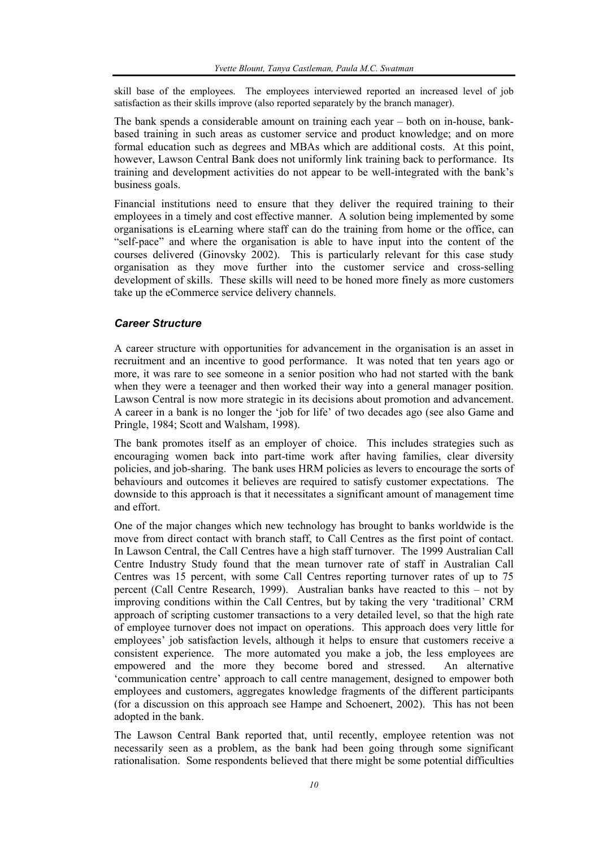skill base of the employees. The employees interviewed reported an increased level of job satisfaction as their skills improve (also reported separately by the branch manager).

The bank spends a considerable amount on training each year – both on in-house, bankbased training in such areas as customer service and product knowledge; and on more formal education such as degrees and MBAs which are additional costs. At this point, however, Lawson Central Bank does not uniformly link training back to performance. Its training and development activities do not appear to be well-integrated with the bank's business goals.

Financial institutions need to ensure that they deliver the required training to their employees in a timely and cost effective manner. A solution being implemented by some organisations is eLearning where staff can do the training from home or the office, can "self-pace" and where the organisation is able to have input into the content of the courses delivered (Ginovsky 2002). This is particularly relevant for this case study organisation as they move further into the customer service and cross-selling development of skills. These skills will need to be honed more finely as more customers take up the eCommerce service delivery channels.

#### *Career Structure*

A career structure with opportunities for advancement in the organisation is an asset in recruitment and an incentive to good performance. It was noted that ten years ago or more, it was rare to see someone in a senior position who had not started with the bank when they were a teenager and then worked their way into a general manager position. Lawson Central is now more strategic in its decisions about promotion and advancement. A career in a bank is no longer the 'job for life' of two decades ago (see also Game and Pringle, 1984; Scott and Walsham, 1998).

The bank promotes itself as an employer of choice. This includes strategies such as encouraging women back into part-time work after having families, clear diversity policies, and job-sharing. The bank uses HRM policies as levers to encourage the sorts of behaviours and outcomes it believes are required to satisfy customer expectations. The downside to this approach is that it necessitates a significant amount of management time and effort.

One of the major changes which new technology has brought to banks worldwide is the move from direct contact with branch staff, to Call Centres as the first point of contact. In Lawson Central, the Call Centres have a high staff turnover. The 1999 Australian Call Centre Industry Study found that the mean turnover rate of staff in Australian Call Centres was 15 percent, with some Call Centres reporting turnover rates of up to 75 percent (Call Centre Research, 1999). Australian banks have reacted to this – not by improving conditions within the Call Centres, but by taking the very 'traditional' CRM approach of scripting customer transactions to a very detailed level, so that the high rate of employee turnover does not impact on operations. This approach does very little for employees' job satisfaction levels, although it helps to ensure that customers receive a consistent experience. The more automated you make a job, the less employees are empowered and the more they become bored and stressed. An alternative 'communication centre' approach to call centre management, designed to empower both employees and customers, aggregates knowledge fragments of the different participants (for a discussion on this approach see Hampe and Schoenert, 2002). This has not been adopted in the bank.

The Lawson Central Bank reported that, until recently, employee retention was not necessarily seen as a problem, as the bank had been going through some significant rationalisation. Some respondents believed that there might be some potential difficulties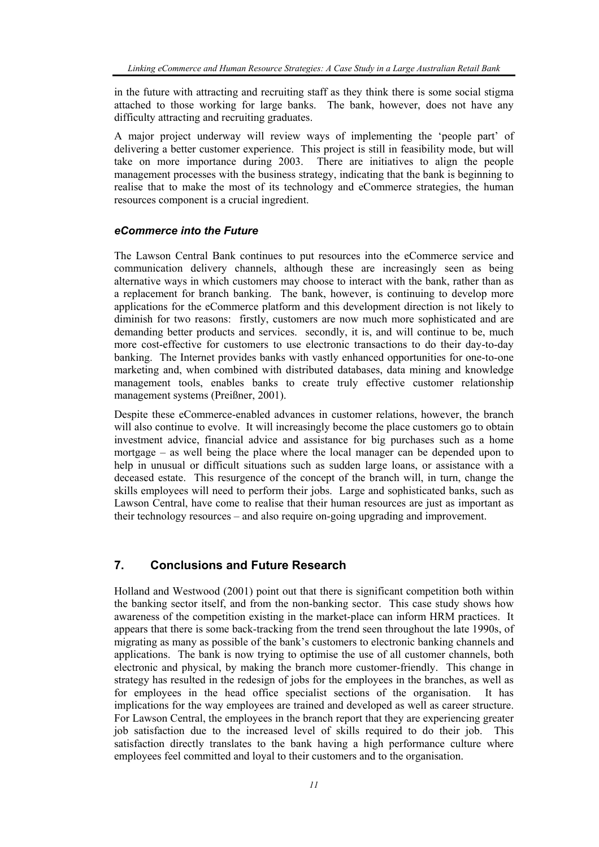in the future with attracting and recruiting staff as they think there is some social stigma attached to those working for large banks. The bank, however, does not have any difficulty attracting and recruiting graduates.

A major project underway will review ways of implementing the 'people part' of delivering a better customer experience. This project is still in feasibility mode, but will take on more importance during 2003. There are initiatives to align the people management processes with the business strategy, indicating that the bank is beginning to realise that to make the most of its technology and eCommerce strategies, the human resources component is a crucial ingredient.

#### *eCommerce into the Future*

The Lawson Central Bank continues to put resources into the eCommerce service and communication delivery channels, although these are increasingly seen as being alternative ways in which customers may choose to interact with the bank, rather than as a replacement for branch banking. The bank, however, is continuing to develop more applications for the eCommerce platform and this development direction is not likely to diminish for two reasons: firstly, customers are now much more sophisticated and are demanding better products and services. secondly, it is, and will continue to be, much more cost-effective for customers to use electronic transactions to do their day-to-day banking. The Internet provides banks with vastly enhanced opportunities for one-to-one marketing and, when combined with distributed databases, data mining and knowledge management tools, enables banks to create truly effective customer relationship management systems (Preißner, 2001).

Despite these eCommerce-enabled advances in customer relations, however, the branch will also continue to evolve. It will increasingly become the place customers go to obtain investment advice, financial advice and assistance for big purchases such as a home mortgage – as well being the place where the local manager can be depended upon to help in unusual or difficult situations such as sudden large loans, or assistance with a deceased estate. This resurgence of the concept of the branch will, in turn, change the skills employees will need to perform their jobs. Large and sophisticated banks, such as Lawson Central, have come to realise that their human resources are just as important as their technology resources – and also require on-going upgrading and improvement.

## **7. Conclusions and Future Research**

Holland and Westwood (2001) point out that there is significant competition both within the banking sector itself, and from the non-banking sector. This case study shows how awareness of the competition existing in the market-place can inform HRM practices. It appears that there is some back-tracking from the trend seen throughout the late 1990s, of migrating as many as possible of the bank's customers to electronic banking channels and applications. The bank is now trying to optimise the use of all customer channels, both electronic and physical, by making the branch more customer-friendly. This change in strategy has resulted in the redesign of jobs for the employees in the branches, as well as for employees in the head office specialist sections of the organisation. It has implications for the way employees are trained and developed as well as career structure. For Lawson Central, the employees in the branch report that they are experiencing greater job satisfaction due to the increased level of skills required to do their job. This satisfaction directly translates to the bank having a high performance culture where employees feel committed and loyal to their customers and to the organisation.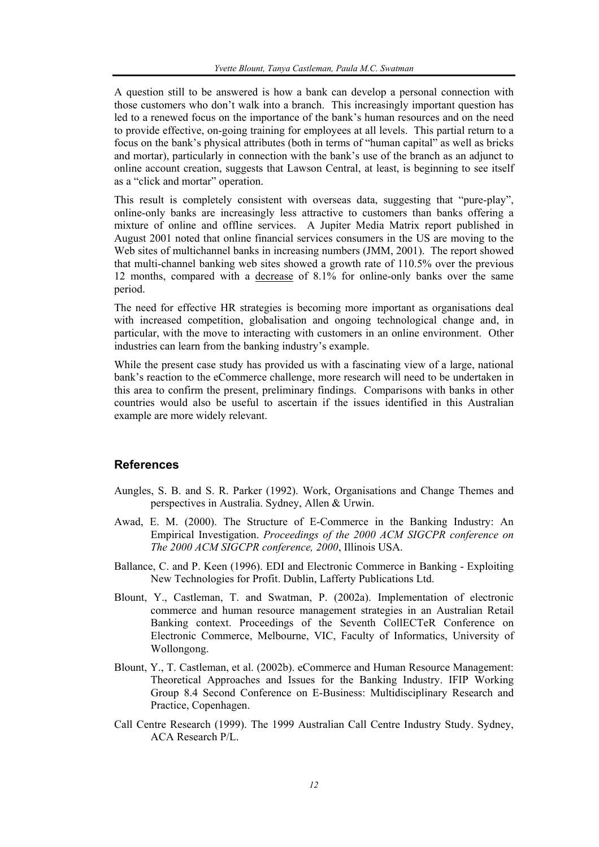A question still to be answered is how a bank can develop a personal connection with those customers who don't walk into a branch. This increasingly important question has led to a renewed focus on the importance of the bank's human resources and on the need to provide effective, on-going training for employees at all levels. This partial return to a focus on the bank's physical attributes (both in terms of "human capital" as well as bricks and mortar), particularly in connection with the bank's use of the branch as an adjunct to online account creation, suggests that Lawson Central, at least, is beginning to see itself as a "click and mortar" operation.

This result is completely consistent with overseas data, suggesting that "pure-play", online-only banks are increasingly less attractive to customers than banks offering a mixture of online and offline services. A Jupiter Media Matrix report published in August 2001 noted that online financial services consumers in the US are moving to the Web sites of multichannel banks in increasing numbers (JMM, 2001). The report showed that multi-channel banking web sites showed a growth rate of 110.5% over the previous 12 months, compared with a decrease of 8.1% for online-only banks over the same period.

The need for effective HR strategies is becoming more important as organisations deal with increased competition, globalisation and ongoing technological change and, in particular, with the move to interacting with customers in an online environment. Other industries can learn from the banking industry's example.

While the present case study has provided us with a fascinating view of a large, national bank's reaction to the eCommerce challenge, more research will need to be undertaken in this area to confirm the present, preliminary findings. Comparisons with banks in other countries would also be useful to ascertain if the issues identified in this Australian example are more widely relevant.

#### **References**

- Aungles, S. B. and S. R. Parker (1992). Work, Organisations and Change Themes and perspectives in Australia. Sydney, Allen & Urwin.
- Awad, E. M. (2000). The Structure of E-Commerce in the Banking Industry: An Empirical Investigation. *Proceedings of the 2000 ACM SIGCPR conference on The 2000 ACM SIGCPR conference, 2000*, Illinois USA.
- Ballance, C. and P. Keen (1996). EDI and Electronic Commerce in Banking Exploiting New Technologies for Profit. Dublin, Lafferty Publications Ltd.
- Blount, Y., Castleman, T. and Swatman, P. (2002a). Implementation of electronic commerce and human resource management strategies in an Australian Retail Banking context. Proceedings of the Seventh CollECTeR Conference on Electronic Commerce, Melbourne, VIC, Faculty of Informatics, University of Wollongong.
- Blount, Y., T. Castleman, et al. (2002b). eCommerce and Human Resource Management: Theoretical Approaches and Issues for the Banking Industry. IFIP Working Group 8.4 Second Conference on E-Business: Multidisciplinary Research and Practice, Copenhagen.
- Call Centre Research (1999). The 1999 Australian Call Centre Industry Study. Sydney, ACA Research P/L.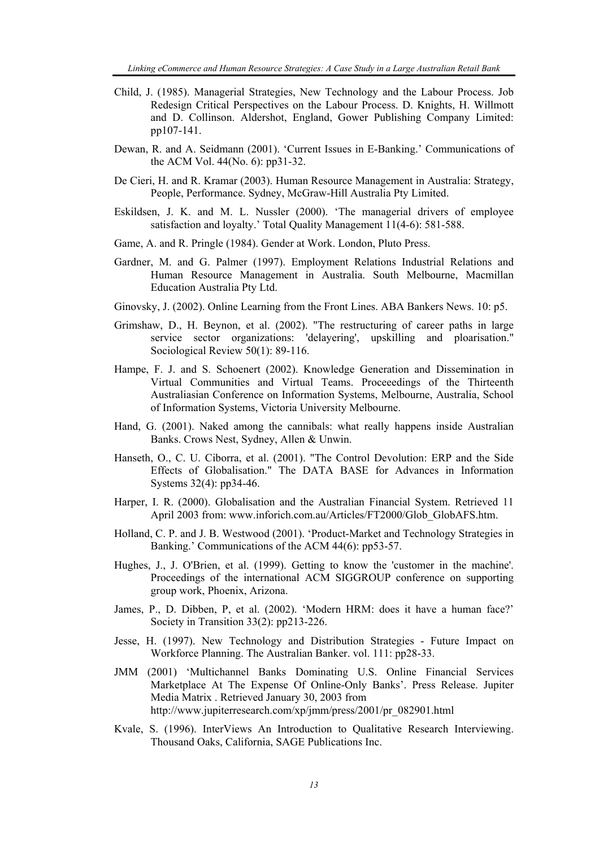- Child, J. (1985). Managerial Strategies, New Technology and the Labour Process. Job Redesign Critical Perspectives on the Labour Process. D. Knights, H. Willmott and D. Collinson. Aldershot, England, Gower Publishing Company Limited: pp107-141.
- Dewan, R. and A. Seidmann (2001). 'Current Issues in E-Banking.' Communications of the ACM Vol. 44(No. 6): pp31-32.
- De Cieri, H. and R. Kramar (2003). Human Resource Management in Australia: Strategy, People, Performance. Sydney, McGraw-Hill Australia Pty Limited.
- Eskildsen, J. K. and M. L. Nussler (2000). 'The managerial drivers of employee satisfaction and loyalty.' Total Quality Management 11(4-6): 581-588.
- Game, A. and R. Pringle (1984). Gender at Work. London, Pluto Press.
- Gardner, M. and G. Palmer (1997). Employment Relations Industrial Relations and Human Resource Management in Australia. South Melbourne, Macmillan Education Australia Pty Ltd.
- Ginovsky, J. (2002). Online Learning from the Front Lines. ABA Bankers News. 10: p5.
- Grimshaw, D., H. Beynon, et al. (2002). "The restructuring of career paths in large service sector organizations: 'delayering', upskilling and ploarisation." Sociological Review 50(1): 89-116.
- Hampe, F. J. and S. Schoenert (2002). Knowledge Generation and Dissemination in Virtual Communities and Virtual Teams. Proceeedings of the Thirteenth Australiasian Conference on Information Systems, Melbourne, Australia, School of Information Systems, Victoria University Melbourne.
- Hand, G. (2001). Naked among the cannibals: what really happens inside Australian Banks. Crows Nest, Sydney, Allen & Unwin.
- Hanseth, O., C. U. Ciborra, et al. (2001). "The Control Devolution: ERP and the Side Effects of Globalisation." The DATA BASE for Advances in Information Systems 32(4): pp34-46.
- Harper, I. R. (2000). Globalisation and the Australian Financial System. Retrieved 11 April 2003 from: www.inforich.com.au/Articles/FT2000/Glob\_GlobAFS.htm.
- Holland, C. P. and J. B. Westwood (2001). 'Product-Market and Technology Strategies in Banking.' Communications of the ACM 44(6): pp53-57.
- Hughes, J., J. O'Brien, et al. (1999). Getting to know the 'customer in the machine'. Proceedings of the international ACM SIGGROUP conference on supporting group work, Phoenix, Arizona.
- James, P., D. Dibben, P, et al. (2002). 'Modern HRM: does it have a human face?' Society in Transition 33(2): pp213-226.
- Jesse, H. (1997). New Technology and Distribution Strategies Future Impact on Workforce Planning. The Australian Banker. vol. 111: pp28-33.
- JMM (2001) 'Multichannel Banks Dominating U.S. Online Financial Services Marketplace At The Expense Of Online-Only Banks'. Press Release. Jupiter Media Matrix . Retrieved January 30, 2003 from http://www.jupiterresearch.com/xp/jmm/press/2001/pr\_082901.html
- Kvale, S. (1996). InterViews An Introduction to Qualitative Research Interviewing. Thousand Oaks, California, SAGE Publications Inc.